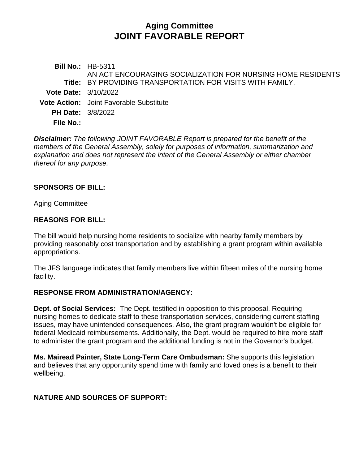# **Aging Committee JOINT FAVORABLE REPORT**

**Bill No.:** HB-5311 **Title:** BY PROVIDING TRANSPORTATION FOR VISITS WITH FAMILY. AN ACT ENCOURAGING SOCIALIZATION FOR NURSING HOME RESIDENTS **Vote Date:** 3/10/2022 **Vote Action:** Joint Favorable Substitute **PH Date:** 3/8/2022 **File No.:**

*Disclaimer: The following JOINT FAVORABLE Report is prepared for the benefit of the members of the General Assembly, solely for purposes of information, summarization and explanation and does not represent the intent of the General Assembly or either chamber thereof for any purpose.*

### **SPONSORS OF BILL:**

Aging Committee

### **REASONS FOR BILL:**

The bill would help nursing home residents to socialize with nearby family members by providing reasonably cost transportation and by establishing a grant program within available appropriations.

The JFS language indicates that family members live within fifteen miles of the nursing home facility.

### **RESPONSE FROM ADMINISTRATION/AGENCY:**

**Dept. of Social Services:** The Dept. testified in opposition to this proposal. Requiring nursing homes to dedicate staff to these transportation services, considering current staffing issues, may have unintended consequences. Also, the grant program wouldn't be eligible for federal Medicaid reimbursements. Additionally, the Dept. would be required to hire more staff to administer the grant program and the additional funding is not in the Governor's budget.

**Ms. Mairead Painter, State Long-Term Care Ombudsman:** She supports this legislation and believes that any opportunity spend time with family and loved ones is a benefit to their wellbeing.

# **NATURE AND SOURCES OF SUPPORT:**